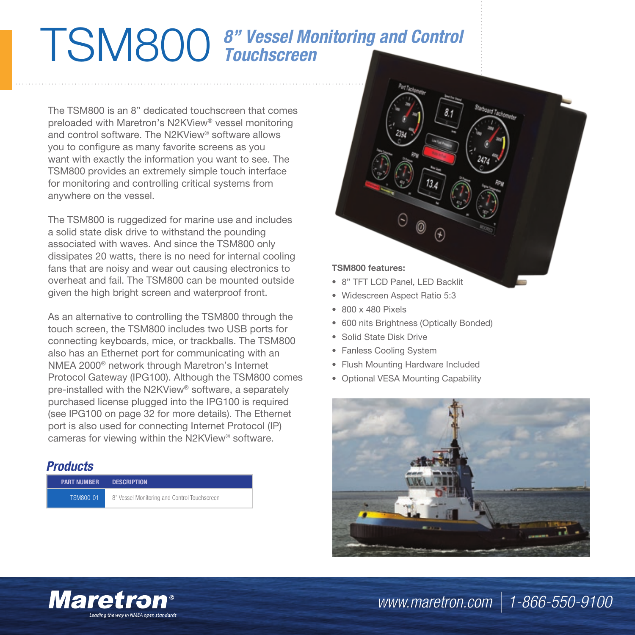## TSM800 *8" Vessel Monitoring and Control Touchscreen*

The TSM800 is an 8" dedicated touchscreen that comes preloaded with Maretron's N2KView® vessel monitoring and control software. The N2KView® software allows you to configure as many favorite screens as you want with exactly the information you want to see. The TSM800 provides an extremely simple touch interface for monitoring and controlling critical systems from anywhere on the vessel.

The TSM800 is ruggedized for marine use and includes a solid state disk drive to withstand the pounding associated with waves. And since the TSM800 only dissipates 20 watts, there is no need for internal cooling fans that are noisy and wear out causing electronics to overheat and fail. The TSM800 can be mounted outside given the high bright screen and waterproof front.

As an alternative to controlling the TSM800 through the touch screen, the TSM800 includes two USB ports for connecting keyboards, mice, or trackballs. The TSM800 also has an Ethernet port for communicating with an NMEA 2000® network through Maretron's Internet Protocol Gateway (IPG100). Although the TSM800 comes pre-installed with the N2KView® software, a separately purchased license plugged into the IPG100 is required (see IPG100 on page 32 for more details). The Ethernet port is also used for connecting Internet Protocol (IP) cameras for viewing within the N2KView® software.

## *Products*

| <b>PART NUMBER</b> | <b>DESCRIPTION</b>                           |
|--------------------|----------------------------------------------|
| TSM800-01          | 8" Vessel Monitoring and Control Touchscreen |

## **TSM800 features:**

- 8" TFT LCD Panel, LED Backlit
- Widescreen Aspect Ratio 5:3
- 800 x 480 Pixels
- 600 nits Brightness (Optically Bonded)
- Solid State Disk Drive
- Fanless Cooling System
- Flush Mounting Hardware Included
- Optional VESA Mounting Capability